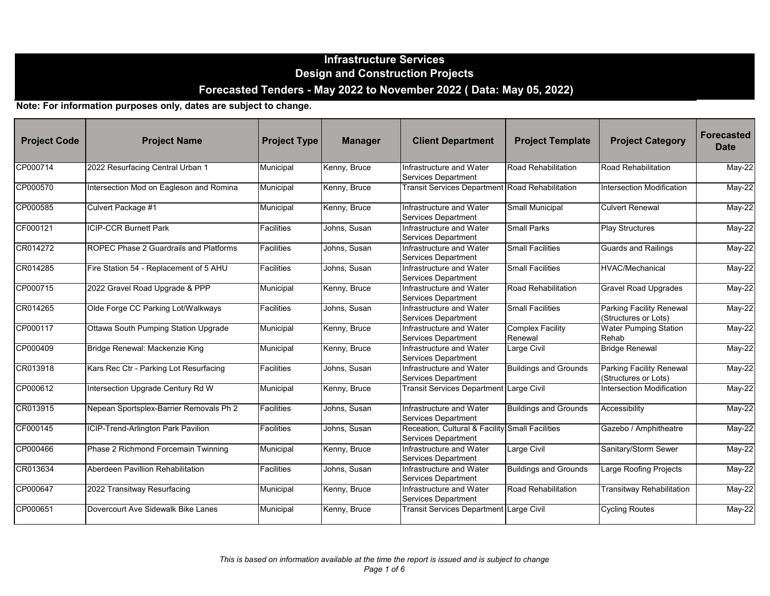| <b>Project Code</b> | <b>Project Name</b>                     | <b>Project Type</b> | <b>Manager</b> | <b>Client Department</b>                                                      | <b>Project Template</b>            | <b>Project Category</b>                                 | <b>Forecasted</b><br><b>Date</b> |
|---------------------|-----------------------------------------|---------------------|----------------|-------------------------------------------------------------------------------|------------------------------------|---------------------------------------------------------|----------------------------------|
| CP000714            | 2022 Resurfacing Central Urban 1        | Municipal           | Kenny, Bruce   | Infrastructure and Water<br><b>Services Department</b>                        | Road Rehabilitation                | Road Rehabilitation                                     | May-22                           |
| CP000570            | Intersection Mod on Eagleson and Romina | Municipal           | Kenny, Bruce   | Transit Services Department Road Rehabilitation                               |                                    | Intersection Modification                               | $May-22$                         |
| CP000585            | Culvert Package #1                      | Municipal           | Kenny, Bruce   | Infrastructure and Water<br>Services Department                               | Small Municipal                    | <b>Culvert Renewal</b>                                  | May-22                           |
| CF000121            | <b>ICIP-CCR Burnett Park</b>            | Facilities          | Johns, Susan   | Infrastructure and Water<br>Services Department                               | <b>Small Parks</b>                 | <b>Play Structures</b>                                  | May-22                           |
| CR014272            | ROPEC Phase 2 Guardrails and Platforms  | <b>Facilities</b>   | Johns, Susan   | Infrastructure and Water<br><b>Services Department</b>                        | <b>Small Facilities</b>            | <b>Guards and Railings</b>                              | $May-22$                         |
| CR014285            | Fire Station 54 - Replacement of 5 AHU  | <b>Facilities</b>   | Johns, Susan   | Infrastructure and Water<br>Services Department                               | <b>Small Facilities</b>            | <b>HVAC/Mechanical</b>                                  | $May-22$                         |
| CP000715            | 2022 Gravel Road Upgrade & PPP          | Municipal           | Kenny, Bruce   | Infrastructure and Water<br><b>Services Department</b>                        | Road Rehabilitation                | <b>Gravel Road Upgrades</b>                             | May-22                           |
| CR014265            | Olde Forge CC Parking Lot/Walkways      | <b>Facilities</b>   | Johns, Susan   | Infrastructure and Water<br>Services Department                               | <b>Small Facilities</b>            | <b>Parking Facility Renewal</b><br>(Structures or Lots) | $May-22$                         |
| CP000117            | Ottawa South Pumping Station Upgrade    | Municipal           | Kenny, Bruce   | Infrastructure and Water<br>Services Department                               | <b>Complex Facility</b><br>Renewal | <b>Water Pumping Station</b><br>Rehab                   | $May-22$                         |
| CP000409            | Bridge Renewal: Mackenzie King          | Municipal           | Kenny, Bruce   | Infrastructure and Water<br>Services Department                               | Large Civil                        | <b>Bridge Renewal</b>                                   | May-22                           |
| CR013918            | Kars Rec Ctr - Parking Lot Resurfacing  | <b>Facilities</b>   | Johns, Susan   | Infrastructure and Water<br>Services Department                               | <b>Buildings and Grounds</b>       | <b>Parking Facility Renewal</b><br>(Structures or Lots) | May-22                           |
| CP000612            | Intersection Upgrade Century Rd W       | Municipal           | Kenny, Bruce   | Transit Services Department Large Civil                                       |                                    | Intersection Modification                               | $May-22$                         |
| CR013915            | Nepean Sportsplex-Barrier Removals Ph 2 | Facilities          | Johns, Susan   | Infrastructure and Water<br><b>Services Department</b>                        | <b>Buildings and Grounds</b>       | Accessibility                                           | May-22                           |
| CF000145            | ICIP-Trend-Arlington Park Pavilion      | Facilities          | Johns, Susan   | Receation, Cultural & Facility Small Facilities<br><b>Services Department</b> |                                    | Gazebo / Amphitheatre                                   | May-22                           |
| CP000466            | Phase 2 Richmond Forcemain Twinning     | Municipal           | Kenny, Bruce   | Infrastructure and Water<br><b>Services Department</b>                        | Large Civil                        | Sanitary/Storm Sewer                                    | $May-22$                         |
| CR013634            | Aberdeen Pavillion Rehabilitation       | <b>Facilities</b>   | Johns. Susan   | Infrastructure and Water<br>Services Department                               | <b>Buildings and Grounds</b>       | Large Roofing Projects                                  | May-22                           |
| CP000647            | 2022 Transitway Resurfacing             | Municipal           | Kenny, Bruce   | Infrastructure and Water<br>Services Department                               | Road Rehabilitation                | Transitway Rehabilitation                               | May-22                           |
| CP000651            | Dovercourt Ave Sidewalk Bike Lanes      | Municipal           | Kenny, Bruce   | Transit Services Department Large Civil                                       |                                    | <b>Cycling Routes</b>                                   | May-22                           |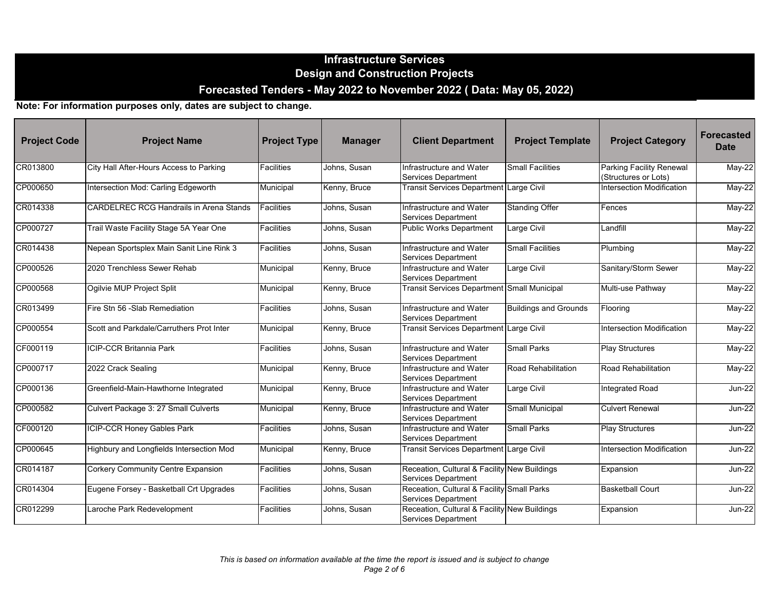| <b>Project Code</b> | <b>Project Name</b>                            | <b>Project Type</b> | <b>Manager</b> | <b>Client Department</b>                                                   | <b>Project Template</b>      | <b>Project Category</b>                                 | <b>Forecasted</b><br><b>Date</b> |
|---------------------|------------------------------------------------|---------------------|----------------|----------------------------------------------------------------------------|------------------------------|---------------------------------------------------------|----------------------------------|
| CR013800            | City Hall After-Hours Access to Parking        | <b>Facilities</b>   | Johns, Susan   | Infrastructure and Water<br><b>Services Department</b>                     | <b>Small Facilities</b>      | <b>Parking Facility Renewal</b><br>(Structures or Lots) | May-22                           |
| CP000650            | Intersection Mod: Carling Edgeworth            | Municipal           | Kenny, Bruce   | <b>Transit Services Department</b>                                         | Large Civil                  | Intersection Modification                               | $May-22$                         |
| CR014338            | <b>CARDELREC RCG Handrails in Arena Stands</b> | Facilities          | Johns, Susan   | Infrastructure and Water<br>Services Department                            | <b>Standing Offer</b>        | Fences                                                  | May-22                           |
| CP000727            | Trail Waste Facility Stage 5A Year One         | Facilities          | Johns, Susan   | <b>Public Works Department</b>                                             | Large Civil                  | Landfill                                                | May-22                           |
| CR014438            | Nepean Sportsplex Main Sanit Line Rink 3       | <b>Facilities</b>   | Johns, Susan   | Infrastructure and Water<br>Services Department                            | <b>Small Facilities</b>      | Plumbing                                                | $May-22$                         |
| CP000526            | 2020 Trenchless Sewer Rehab                    | Municipal           | Kenny, Bruce   | Infrastructure and Water<br>Services Department                            | Large Civil                  | Sanitary/Storm Sewer                                    | May-22                           |
| CP000568            | Ogilvie MUP Project Split                      | Municipal           | Kenny, Bruce   | <b>Transit Services Department Small Municipal</b>                         |                              | Multi-use Pathway                                       | May-22                           |
| CR013499            | Fire Stn 56 - Slab Remediation                 | <b>Facilities</b>   | Johns, Susan   | Infrastructure and Water<br><b>Services Department</b>                     | <b>Buildings and Grounds</b> | Flooring                                                | $May-22$                         |
| CP000554            | Scott and Parkdale/Carruthers Prot Inter       | Municipal           | Kenny, Bruce   | <b>Transit Services Department Large Civil</b>                             |                              | Intersection Modification                               | May-22                           |
| CF000119            | <b>ICIP-CCR Britannia Park</b>                 | Facilities          | Johns, Susan   | Infrastructure and Water<br><b>Services Department</b>                     | <b>Small Parks</b>           | <b>Play Structures</b>                                  | May-22                           |
| CP000717            | 2022 Crack Sealing                             | Municipal           | Kenny, Bruce   | Infrastructure and Water<br><b>Services Department</b>                     | Road Rehabilitation          | Road Rehabilitation                                     | $May-22$                         |
| CP000136            | Greenfield-Main-Hawthorne Integrated           | Municipal           | Kenny, Bruce   | Infrastructure and Water<br><b>Services Department</b>                     | Large Civil                  | Integrated Road                                         | $Jun-22$                         |
| CP000582            | Culvert Package 3: 27 Small Culverts           | Municipal           | Kenny, Bruce   | Infrastructure and Water<br><b>Services Department</b>                     | <b>Small Municipal</b>       | <b>Culvert Renewal</b>                                  | $Jun-22$                         |
| CF000120            | <b>ICIP-CCR Honey Gables Park</b>              | <b>Facilities</b>   | Johns, Susan   | Infrastructure and Water<br><b>Services Department</b>                     | <b>Small Parks</b>           | <b>Play Structures</b>                                  | <b>Jun-22</b>                    |
| CP000645            | Highbury and Longfields Intersection Mod       | Municipal           | Kenny, Bruce   | Transit Services Department Large Civil                                    |                              | <b>Intersection Modification</b>                        | $Jun-22$                         |
| CR014187            | <b>Corkery Community Centre Expansion</b>      | <b>Facilities</b>   | Johns, Susan   | Receation, Cultural & Facility New Buildings<br>Services Department        |                              | Expansion                                               | <b>Jun-22</b>                    |
| CR014304            | Eugene Forsey - Basketball Crt Upgrades        | Facilities          | Johns, Susan   | Receation, Cultural & Facility Small Parks<br>Services Department          |                              | <b>Basketball Court</b>                                 | <b>Jun-22</b>                    |
| CR012299            | Laroche Park Redevelopment                     | Facilities          | Johns, Susan   | Receation, Cultural & Facility New Buildings<br><b>Services Department</b> |                              | Expansion                                               | <b>Jun-22</b>                    |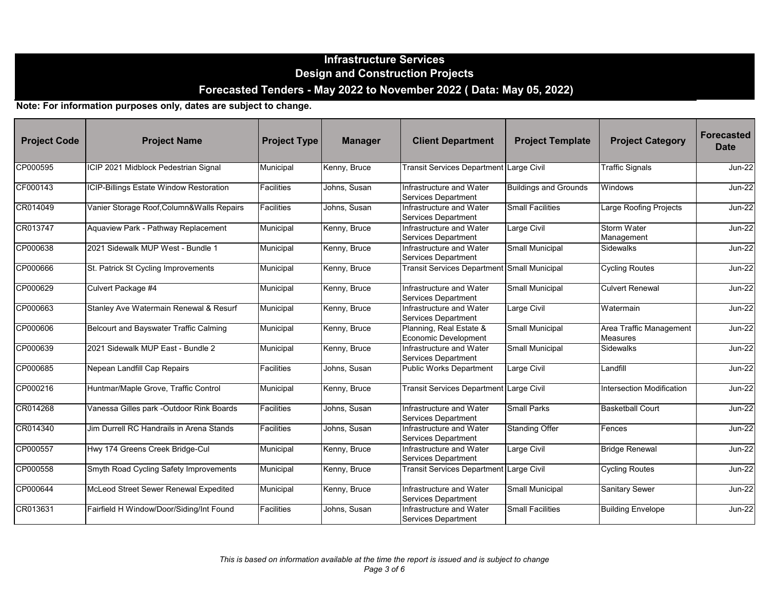| <b>Project Code</b> | <b>Project Name</b>                           | <b>Project Type</b> | <b>Manager</b> | <b>Client Department</b>                               | <b>Project Template</b>      | <b>Project Category</b>                    | <b>Forecasted</b><br><b>Date</b> |
|---------------------|-----------------------------------------------|---------------------|----------------|--------------------------------------------------------|------------------------------|--------------------------------------------|----------------------------------|
| CP000595            | ICIP 2021 Midblock Pedestrian Signal          | Municipal           | Kenny, Bruce   | Transit Services Department Large Civil                |                              | <b>Traffic Signals</b>                     | $Jun-22$                         |
| CF000143            | ICIP-Billings Estate Window Restoration       | <b>Facilities</b>   | Johns, Susan   | Infrastructure and Water<br>Services Department        | <b>Buildings and Grounds</b> | Windows                                    | $Jun-22$                         |
| CR014049            | Vanier Storage Roof, Column& Walls Repairs    | Facilities          | Johns, Susan   | Infrastructure and Water<br>Services Department        | <b>Small Facilities</b>      | Large Roofing Projects                     | <b>Jun-22</b>                    |
| CR013747            | Aquaview Park - Pathway Replacement           | Municipal           | Kenny, Bruce   | Infrastructure and Water<br>Services Department        | Large Civil                  | <b>Storm Water</b><br>Management           | $Jun-22$                         |
| CP000638            | 2021 Sidewalk MUP West - Bundle 1             | Municipal           | Kenny, Bruce   | Infrastructure and Water<br>Services Department        | <b>Small Municipal</b>       | <b>Sidewalks</b>                           | $Jun-22$                         |
| CP000666            | St. Patrick St Cycling Improvements           | Municipal           | Kenny, Bruce   | Transit Services Department Small Municipal            |                              | <b>Cycling Routes</b>                      | $Jun-22$                         |
| CP000629            | Culvert Package #4                            | Municipal           | Kenny, Bruce   | Infrastructure and Water<br>Services Department        | Small Municipal              | <b>Culvert Renewal</b>                     | $Jun-22$                         |
| CP000663            | Stanley Ave Watermain Renewal & Resurf        | Municipal           | Kenny, Bruce   | Infrastructure and Water<br><b>Services Department</b> | Large Civil                  | Watermain                                  | $Jun-22$                         |
| CP000606            | <b>Belcourt and Bayswater Traffic Calming</b> | Municipal           | Kenny, Bruce   | Planning, Real Estate &<br>Economic Development        | Small Municipal              | Area Traffic Management<br><b>Measures</b> | $Jun-22$                         |
| CP000639            | 2021 Sidewalk MUP East - Bundle 2             | Municipal           | Kenny, Bruce   | Infrastructure and Water<br>Services Department        | <b>Small Municipal</b>       | <b>Sidewalks</b>                           | $Jun-22$                         |
| CP000685            | Nepean Landfill Cap Repairs                   | Facilities          | Johns, Susan   | <b>Public Works Department</b>                         | Large Civil                  | Landfill                                   | $Jun-22$                         |
| CP000216            | Huntmar/Maple Grove, Traffic Control          | Municipal           | Kenny, Bruce   | Transit Services Department Large Civil                |                              | Intersection Modification                  | $Jun-22$                         |
| CR014268            | Vanessa Gilles park -Outdoor Rink Boards      | Facilities          | Johns, Susan   | Infrastructure and Water<br>Services Department        | <b>Small Parks</b>           | <b>Basketball Court</b>                    | <b>Jun-22</b>                    |
| CR014340            | Jim Durrell RC Handrails in Arena Stands      | <b>Facilities</b>   | Johns, Susan   | Infrastructure and Water<br>Services Department        | <b>Standing Offer</b>        | Fences                                     | <b>Jun-22</b>                    |
| CP000557            | Hwy 174 Greens Creek Bridge-Cul               | Municipal           | Kenny, Bruce   | Infrastructure and Water<br><b>Services Department</b> | Large Civil                  | <b>Bridge Renewal</b>                      | <b>Jun-22</b>                    |
| CP000558            | Smyth Road Cycling Safety Improvements        | Municipal           | Kenny, Bruce   | <b>Transit Services Department</b>                     | Large Civil                  | <b>Cycling Routes</b>                      | <b>Jun-22</b>                    |
| CP000644            | McLeod Street Sewer Renewal Expedited         | Municipal           | Kenny, Bruce   | Infrastructure and Water<br>Services Department        | Small Municipal              | <b>Sanitary Sewer</b>                      | <b>Jun-22</b>                    |
| CR013631            | Fairfield H Window/Door/Siding/Int Found      | <b>Facilities</b>   | Johns, Susan   | Infrastructure and Water<br>Services Department        | <b>Small Facilities</b>      | <b>Building Envelope</b>                   | <b>Jun-22</b>                    |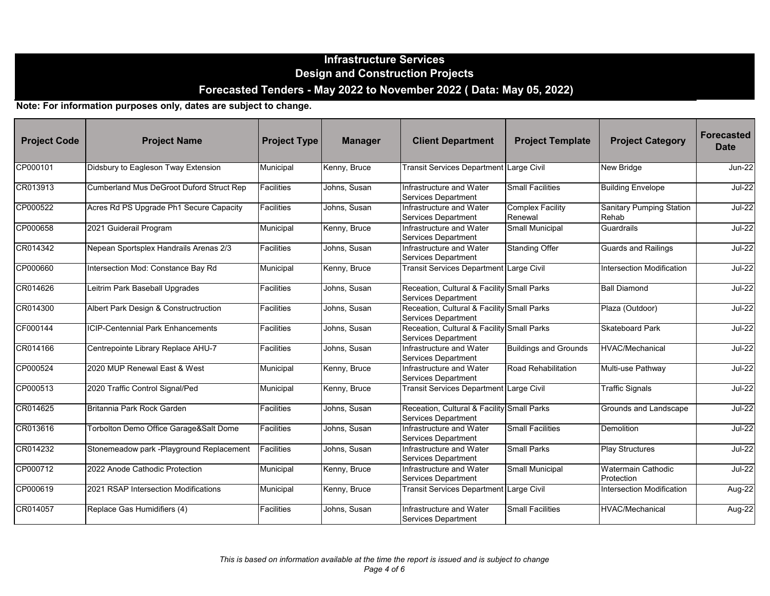| <b>Project Code</b> | <b>Project Name</b>                      | <b>Project Type</b> | <b>Manager</b> | <b>Client Department</b>                                                 | <b>Project Template</b>            | <b>Project Category</b>                  | <b>Forecasted</b><br><b>Date</b> |
|---------------------|------------------------------------------|---------------------|----------------|--------------------------------------------------------------------------|------------------------------------|------------------------------------------|----------------------------------|
| CP000101            | Didsbury to Eagleson Tway Extension      | Municipal           | Kenny, Bruce   | Transit Services Department Large Civil                                  |                                    | <b>New Bridge</b>                        | <b>Jun-22</b>                    |
| CR013913            | Cumberland Mus DeGroot Duford Struct Rep | <b>Facilities</b>   | Johns, Susan   | Infrastructure and Water<br>Services Department                          | <b>Small Facilities</b>            | <b>Building Envelope</b>                 | $Jul-22$                         |
| CP000522            | Acres Rd PS Upgrade Ph1 Secure Capacity  | Facilities          | Johns, Susan   | Infrastructure and Water<br>Services Department                          | <b>Complex Facility</b><br>Renewal | <b>Sanitary Pumping Station</b><br>Rehab | $Jul-22$                         |
| CP000658            | 2021 Guiderail Program                   | Municipal           | Kenny, Bruce   | Infrastructure and Water<br>Services Department                          | Small Municipal                    | Guardrails                               | $Jul-22$                         |
| CR014342            | Nepean Sportsplex Handrails Arenas 2/3   | <b>Facilities</b>   | Johns, Susan   | Infrastructure and Water<br><b>Services Department</b>                   | <b>Standing Offer</b>              | <b>Guards and Railings</b>               | $Jul-22$                         |
| CP000660            | Intersection Mod: Constance Bay Rd       | Municipal           | Kenny, Bruce   | Transit Services Department Large Civil                                  |                                    | Intersection Modification                | $Jul-22$                         |
| CR014626            | Leitrim Park Baseball Upgrades           | Facilities          | Johns, Susan   | Receation, Cultural & Facility Small Parks<br><b>Services Department</b> |                                    | <b>Ball Diamond</b>                      | $Jul-22$                         |
| CR014300            | Albert Park Design & Constructruction    | <b>Facilities</b>   | Johns, Susan   | Receation, Cultural & Facility Small Parks<br><b>Services Department</b> |                                    | Plaza (Outdoor)                          | $Jul-22$                         |
| CF000144            | <b>ICIP-Centennial Park Enhancements</b> | <b>Facilities</b>   | Johns, Susan   | Receation, Cultural & Facility Small Parks<br>Services Department        |                                    | <b>Skateboard Park</b>                   | <b>Jul-22</b>                    |
| CR014166            | Centrepointe Library Replace AHU-7       | Facilities          | Johns, Susan   | Infrastructure and Water<br>Services Department                          | <b>Buildings and Grounds</b>       | <b>HVAC/Mechanical</b>                   | $Jul-22$                         |
| CP000524            | 2020 MUP Renewal East & West             | Municipal           | Kenny, Bruce   | Infrastructure and Water<br><b>Services Department</b>                   | Road Rehabilitation                | Multi-use Pathway                        | $Jul-22$                         |
| CP000513            | 2020 Traffic Control Signal/Ped          | Municipal           | Kenny, Bruce   | Transit Services Department Large Civil                                  |                                    | <b>Traffic Signals</b>                   | $Jul-22$                         |
| CR014625            | Britannia Park Rock Garden               | Facilities          | Johns, Susan   | Receation, Cultural & Facility Small Parks<br><b>Services Department</b> |                                    | Grounds and Landscape                    | $Jul-22$                         |
| CR013616            | Torbolton Demo Office Garage&Salt Dome   | <b>Facilities</b>   | Johns, Susan   | Infrastructure and Water<br>Services Department                          | <b>Small Facilities</b>            | Demolition                               | <b>Jul-22</b>                    |
| CR014232            | Stonemeadow park -Playground Replacement | Facilities          | Johns. Susan   | Infrastructure and Water<br><b>Services Department</b>                   | <b>Small Parks</b>                 | <b>Play Structures</b>                   | <b>Jul-22</b>                    |
| CP000712            | 2022 Anode Cathodic Protection           | Municipal           | Kenny, Bruce   | Infrastructure and Water<br>Services Department                          | Small Municipal                    | <b>Watermain Cathodic</b><br>Protection  | <b>Jul-22</b>                    |
| CP000619            | 2021 RSAP Intersection Modifications     | Municipal           | Kenny, Bruce   | <b>Transit Services Department</b>                                       | Large Civil                        | Intersection Modification                | Aug-22                           |
| CR014057            | Replace Gas Humidifiers (4)              | Facilities          | Johns, Susan   | Infrastructure and Water<br><b>Services Department</b>                   | <b>Small Facilities</b>            | <b>HVAC/Mechanical</b>                   | Aug-22                           |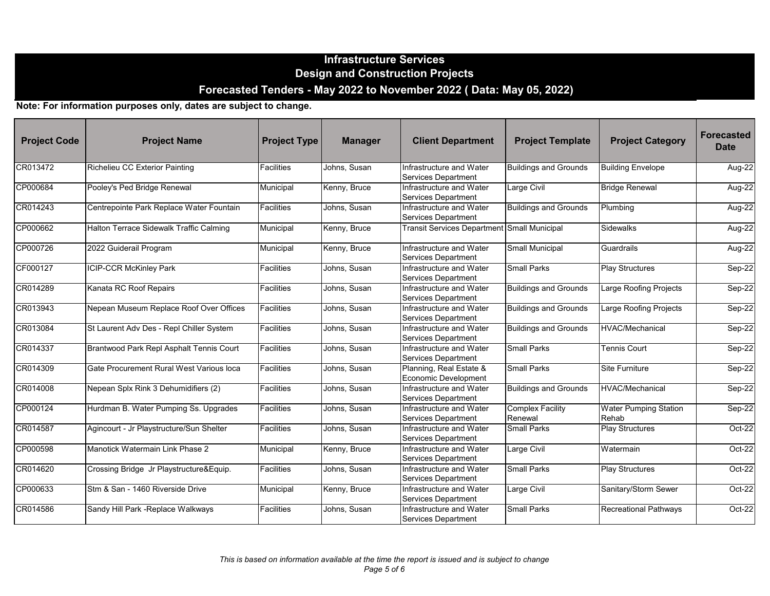| <b>Project Code</b> | <b>Project Name</b>                      | <b>Project Type</b> | <b>Manager</b> | <b>Client Department</b>                               | <b>Project Template</b>            | <b>Project Category</b>               | <b>Forecasted</b><br><b>Date</b> |
|---------------------|------------------------------------------|---------------------|----------------|--------------------------------------------------------|------------------------------------|---------------------------------------|----------------------------------|
| CR013472            | Richelieu CC Exterior Painting           | <b>Facilities</b>   | Johns, Susan   | Infrastructure and Water<br>Services Department        | <b>Buildings and Grounds</b>       | <b>Building Envelope</b>              | Aug-22                           |
| CP000684            | Pooley's Ped Bridge Renewal              | Municipal           | Kenny, Bruce   | Infrastructure and Water<br>Services Department        | Large Civil                        | <b>Bridge Renewal</b>                 | Aug-22                           |
| CR014243            | Centrepointe Park Replace Water Fountain | <b>Facilities</b>   | Johns, Susan   | Infrastructure and Water<br>Services Department        | <b>Buildings and Grounds</b>       | Plumbing                              | Aug-22                           |
| CP000662            | Halton Terrace Sidewalk Traffic Calming  | Municipal           | Kenny, Bruce   | Transit Services Department Small Municipal            |                                    | Sidewalks                             | Aug-22                           |
| CP000726            | 2022 Guiderail Program                   | Municipal           | Kenny, Bruce   | Infrastructure and Water<br>Services Department        | Small Municipal                    | Guardrails                            | Aug-22                           |
| CF000127            | <b>ICIP-CCR McKinley Park</b>            | Facilities          | Johns, Susan   | Infrastructure and Water<br>Services Department        | <b>Small Parks</b>                 | <b>Play Structures</b>                | Sep-22                           |
| CR014289            | Kanata RC Roof Repairs                   | Facilities          | Johns, Susan   | Infrastructure and Water<br><b>Services Department</b> | <b>Buildings and Grounds</b>       | Large Roofing Projects                | $Sep-22$                         |
| CR013943            | Nepean Museum Replace Roof Over Offices  | Facilities          | Johns, Susan   | Infrastructure and Water<br><b>Services Department</b> | <b>Buildings and Grounds</b>       | Large Roofing Projects                | Sep-22                           |
| CR013084            | St Laurent Adv Des - Repl Chiller System | Facilities          | Johns, Susan   | Infrastructure and Water<br><b>Services Department</b> | <b>Buildings and Grounds</b>       | <b>HVAC/Mechanical</b>                | Sep-22                           |
| CR014337            | Brantwood Park Repl Asphalt Tennis Court | <b>Facilities</b>   | Johns, Susan   | Infrastructure and Water<br>Services Department        | Small Parks                        | <b>Tennis Court</b>                   | Sep-22                           |
| CR014309            | Gate Procurement Rural West Various loca | <b>Facilities</b>   | Johns, Susan   | Planning, Real Estate &<br>Economic Development        | <b>Small Parks</b>                 | Site Furniture                        | Sep-22                           |
| CR014008            | Nepean Splx Rink 3 Dehumidifiers (2)     | Facilities          | Johns, Susan   | Infrastructure and Water<br>Services Department        | <b>Buildings and Grounds</b>       | <b>HVAC/Mechanical</b>                | Sep-22                           |
| CP000124            | Hurdman B. Water Pumping Ss. Upgrades    | Facilities          | Johns, Susan   | Infrastructure and Water<br>Services Department        | <b>Complex Facility</b><br>Renewal | <b>Water Pumping Station</b><br>Rehab | $Sep-22$                         |
| CR014587            | Agincourt - Jr Playstructure/Sun Shelter | <b>Facilities</b>   | Johns, Susan   | Infrastructure and Water<br>Services Department        | <b>Small Parks</b>                 | <b>Play Structures</b>                | $Oct-22$                         |
| CP000598            | Manotick Watermain Link Phase 2          | Municipal           | Kenny, Bruce   | Infrastructure and Water<br>Services Department        | Large Civil                        | Watermain                             | $Oct-22$                         |
| CR014620            | Crossing Bridge Jr Playstructure&Equip.  | <b>Facilities</b>   | Johns, Susan   | Infrastructure and Water<br>Services Department        | <b>Small Parks</b>                 | <b>Play Structures</b>                | Oct-22                           |
| CP000633            | Stm & San - 1460 Riverside Drive         | Municipal           | Kenny, Bruce   | Infrastructure and Water<br>Services Department        | Large Civil                        | Sanitary/Storm Sewer                  | Oct-22                           |
| CR014586            | Sandy Hill Park - Replace Walkways       | <b>Facilities</b>   | Johns, Susan   | Infrastructure and Water<br>Services Department        | <b>Small Parks</b>                 | <b>Recreational Pathways</b>          | $Oct-22$                         |